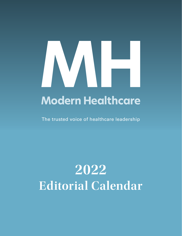# 

## **Modern Healthcare**

The trusted voice of healthcare leadership

# **2022 Editorial Calendar**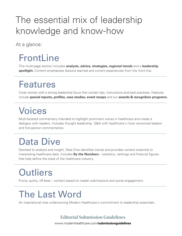## The essential mix of leadership knowledge and know-how

At a glance:

## **FrontLine**

This multi-page section includes **analysis, advice, strategies, regional trends** and a **leadership spotlight.** Content emphasizes lessons learned and current experiences from the *front line.*

## Features

Cover stories with a strong leadership focus that contain tips, instructions and best practices. Features include **special reports, profiles, case studies, event recaps** and our **awards & recognition programs.**

## Voices

Multi-faceted commentary intended to highlight prominent voices in healthcare and create a dialogue with readers. Includes thought leadership, Q&A with healthcare's most renowned leaders and first-person commentaries.

## Data Dive

Devoted to analysis and insight, Data Dive identifies trends and provides context essential to interpreting healthcare data. Includes **By the Numbers** – statistics, rankings and financial figures that help define the state of the healthcare industry.

## **Outliers**

Funny, quirky, off-beat – content based on reader submissions and social engagement.

## The Last Word

An inspirational note underscoring Modern Healthcare's commitment to leadership essentials.

## **Editorial Submission Guidelines**

www.modernhealthcare.com**/submissionguidelines**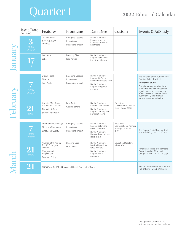## Quarter 1

## **2022** Editorial Calendar

|                | <b>Issue Date</b><br>(Ad Close) | Features                                                                                           | FrontLine                                                         | Data Dive                                                                                                                  | Custom                                                                | Events & AdStudy                                                                                                                                                                                                                                                                                   |
|----------------|---------------------------------|----------------------------------------------------------------------------------------------------|-------------------------------------------------------------------|----------------------------------------------------------------------------------------------------------------------------|-----------------------------------------------------------------------|----------------------------------------------------------------------------------------------------------------------------------------------------------------------------------------------------------------------------------------------------------------------------------------------------|
|                | 3<br>(12/23)<br>Regional        | 2022 Forecast<br><b>CEO Poll: 2022</b><br>Priorities                                               | <b>Emerging Leaders</b><br>Innovations<br>Measuring Impact        | By the Numbers:<br>Fastest growing<br>industry sectors in<br>healthcare                                                    |                                                                       |                                                                                                                                                                                                                                                                                                    |
|                | 17<br>(1/6)                     | Insurance<br>Labor                                                                                 | <b>Breaking Bias</b><br>Free Advice                               | By the Numbers:<br>Largest healthcare<br>investment banks                                                                  |                                                                       |                                                                                                                                                                                                                                                                                                    |
| <b>Februar</b> | (1/27)<br>Regional              | Digital Health<br>Finance<br>Post-Acute                                                            | <b>Emerging Leaders</b><br>Innovations<br>Measuring Impact        | By the Numbers:<br>Largest ACOs by<br>covered Medicare lives<br>By the Numbers:<br>Largest integrated<br>systems           |                                                                       | The Hospital of the Future Virtual<br>Briefing: Feb. 10, Virtual<br>AdEffect <sup>™</sup> Study<br>Complimentary for all national<br>print advertisers and measures<br>effectiveness of message and<br>effectiveness of creative, both<br>quantitatively and through<br>extensive reader verbatim! |
|                | 21<br>(2/10)                    | Awards: 10th Annual<br>Top Women Leaders<br><b>Outpatient Care</b><br>Survey: Pay Parity           | Free Advice<br>Getting it Done                                    | By the Numbers:<br>Diversity and inclusion<br>By the Numbers:<br>Largest primary care<br>physician chains                  | Executive<br>Conversations: Health<br>Equity (close 1/27)             |                                                                                                                                                                                                                                                                                                    |
|                | (2/24)<br>Regional              | Information Technology<br>Physician Shortages<br>Safety and Quality                                | <b>Emerging Leaders</b><br>Innovations<br>Measuring Impact        | By the Numbers:<br>Largest behavioral<br>health providers<br>By the Numbers:<br><b>Highest Medical Loss</b><br>Ratio (MLR) | Executive<br>Conversations: Artificial<br>Intelligence (close<br>2/10 | The Supply Chain/Revenue Cycle<br>Virtual Briefing: Mar. 10, Virtual                                                                                                                                                                                                                               |
|                | 21<br>(3/10)                    | Awards: 36th Annual<br>Top 25 Emerging<br>Leaders<br>Mergers and<br>Acquisitions<br>Payment Policy | <b>Breaking Bias</b><br>Free Advice                               | By the Numbers:<br>Medicaid provider<br>rates by state<br>By the Numbers:<br>Largest MHA<br>programs                       | <b>Education Directory</b><br>(close 3/10)                            | American College of Healthcare<br>Executives (ACHE) Annual<br>Congress: Mar. 28 - 31, Chicago                                                                                                                                                                                                      |
|                | (3/3)                           | PROGRAM GUIDE: 34th Annual Health Care Hall of Fame                                                | Modern Healthcare's Health Care<br>Hall of Fame: Mar. 27, Chicago |                                                                                                                            |                                                                       |                                                                                                                                                                                                                                                                                                    |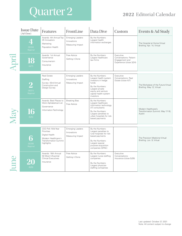## Quarter 2 2022 Editorial Calendar

|     | <b>Issue Date</b><br>(Ad Close) | Features                                                                                                                | FrontLine                                                  | Data Dive                                                                                                                                                                     | Custom                                                                           | Events & Ad Study                                                  |
|-----|---------------------------------|-------------------------------------------------------------------------------------------------------------------------|------------------------------------------------------------|-------------------------------------------------------------------------------------------------------------------------------------------------------------------------------|----------------------------------------------------------------------------------|--------------------------------------------------------------------|
|     | (3/24)<br>Regional              | Awards: 4th Annual Top<br>25 Innovators<br>Marketing<br>Population Health                                               | <b>Emerging Leaders</b><br>Innovations<br>Measuring Impact | By the Numbers:<br>Largest health<br>information exchanges                                                                                                                    |                                                                                  | The Hospital at Home Virtual<br>Briefing: Apr. 14, Virtual         |
|     | 18<br>(4/7)                     | Awards: 1st Annual<br>Governance<br>Consumerism<br>Insurance                                                            | Free Advice<br>Getting it Done                             | By the Numbers:<br>Largest healthcare<br>law firms                                                                                                                            | Executive<br>Conversations: Patient<br>Engagement and<br>Experience (close 3/24) |                                                                    |
|     | (4/21)<br>Regional              | <b>Real Estate</b><br>Staffing<br>Survey: 43rd Annual<br>Construction and<br>Design Survey                              | <b>Emerging Leaders</b><br>Innovations<br>Measuring Impact | By the Numbers:<br>Largest health system<br>investors in hedge<br>funds<br>By the Numbers:<br>Largest private<br>equity and venture<br>capital health system<br>investors     | Executive<br>Conversations: Real<br>Estate (close 4/7)                           | The Workplace of the Future Virtual<br>Briefing: May 12, Virtual   |
| Via | 16<br>(5/5)                     | Awards: Best Places to<br>Work Alphabetical List<br>Governance<br>Information Technology                                | <b>Breaking Bias</b><br>Free Advice                        | By the Numbers:<br>Largest healthcare<br>information technology<br>(IT) consultants<br>By the Numbers:<br>Largest penalties to<br>urban hospitals for risk-<br>based payments |                                                                                  | Modern Healthcare's<br>Transformation Summit: May 17-18,<br>Austin |
|     | 6<br>(5/26)<br>Regional         | CEO Poll: Mid-Year<br>Priorities<br>Digital Health<br>Modern Healthcare's<br><b>Transformation Summit</b><br>highlights | <b>Emerging Leaders</b><br>Innovations<br>Measuring Impact | By the Numbers:<br>Largest penalties to<br>rural hospitals for risk-<br>based payments<br>By the Numbers:<br>Largest special<br>purpose acquisition<br>companies (SPAC)       |                                                                                  | The Precision Medicine Virtual<br>Briefing: Jun. 9, Virtual        |
|     | (6/9)                           | Awards: 18th Annual<br>50 Most Influential<br><b>Clinical Executives</b><br>Insurance                                   | Free Advice<br>Getting it Done                             | By the Numbers:<br>Largest nurse staffing<br>companies<br>By the Numbers:<br>Largest physician<br>staffing companies                                                          | Executive<br>Conversations:<br>Insurance (close 5/26)                            |                                                                    |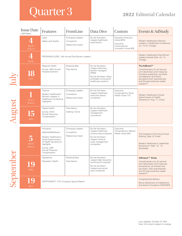## Quarter 3 2022 Editorial Calendar

|        | <b>Issue Date</b><br>(Ad Close) | Features                                                                                                                                                              | FrontLine                                                                 | Data Dive                                                                                                                                   | Custom                                                                                              | Events & AdStudy                                                                                                                                                                                                          |
|--------|---------------------------------|-----------------------------------------------------------------------------------------------------------------------------------------------------------------------|---------------------------------------------------------------------------|---------------------------------------------------------------------------------------------------------------------------------------------|-----------------------------------------------------------------------------------------------------|---------------------------------------------------------------------------------------------------------------------------------------------------------------------------------------------------------------------------|
|        | (6/23)<br>Regional              | Labor<br>Safety and Quality                                                                                                                                           | <b>Emerging Leaders</b><br>Innovations<br>Measuring Impact                | By the Numbers:<br>Largest healthcare<br>associations                                                                                       | <b>Education Directory</b><br>(close 6/23)<br>Executive<br>Conversations:<br>Innovation (close 6/9) | Modern Healthcare's Women<br>Leaders in Healthcare Conference:<br>Jul. 14-15, Chicago                                                                                                                                     |
|        | 4<br>(6/16)                     | PROGRAM GUIDE: 10th Annual Top Women Leaders                                                                                                                          | Modern Healthcare's Top Women<br>Leaders Awards Gala: Jul. 14,<br>Chicago |                                                                                                                                             |                                                                                                     |                                                                                                                                                                                                                           |
|        | 18<br>(7/7)                     | Regional Health<br>Survey: 46th Annual<br><b>Hospital Systems</b>                                                                                                     | <b>Breaking Bias</b><br>Free Advice                                       | By the Numbers:<br>Largest pharmacy<br>benefit managers<br>(PBM)<br>By the Numbers: Most<br>profitable not-for-profit<br>healthcare systems |                                                                                                     | The AdBrand™<br>Complimentary for all national<br>print advertisers and measures<br>company awareness, purchase<br>consideration and brand<br>perception both quantitatively<br>and through extensive reader<br>verbatim! |
|        |                                 |                                                                                                                                                                       |                                                                           |                                                                                                                                             |                                                                                                     |                                                                                                                                                                                                                           |
|        | (7/21)<br>Regional              | Finance<br>Modern Healthcare's<br>Women Leaders in<br><b>Healthcare Conference</b><br>Highlights                                                                      | <b>Emerging Leaders</b><br>Innovations<br>Measuring Impact                | By the Numbers:<br>Largest healthcare<br>executive search<br>companies                                                                      | Executive<br>Conversations: Rural<br>Health (close 7/7)                                             | Modern Healthcare's Social<br>Determinants of Health<br>Symposium: Aug. 11, Virtual                                                                                                                                       |
| August | 15<br>(8/4)                     | Digital Health<br>Survey: 42nd<br>Annual Executive<br>Compensation                                                                                                    | Free Advice<br>Getting it Done                                            | By the Numbers:<br>Largest healthcare<br>management<br>consultants                                                                          |                                                                                                     |                                                                                                                                                                                                                           |
|        |                                 |                                                                                                                                                                       |                                                                           |                                                                                                                                             |                                                                                                     |                                                                                                                                                                                                                           |
|        | 5<br>(8/25)<br>Regional         | Insurance<br>Medicaid/Medicare<br>Modern Healthcare's<br>Social Determinants<br>of Health Symposium<br>highlights<br>Survey: 29th<br>Annual Physician<br>Compensation | <b>Emerging Leaders</b><br>Innovations<br>Measuring Impact                | By the Numbers:<br>Largest healthcare<br>outsourcing companies<br>By the Numbers:<br>Largest revenue<br>cycle management<br>companies       | Executive<br><b>Conversations: Mental</b><br>Health (close 8/4)                                     | The Hospital of the Future Virtual<br>Briefing: Sept. 8, Virtual<br>Modern Healthcare's Leadership<br>Symposium: Sept. 13 - 14,<br>Scottsdale                                                                             |
|        | 19<br>(9/8)                     | Operations<br>Population Health                                                                                                                                       | <b>Breaking Bias</b><br>Free Advice                                       | By the Numbers:<br>Largest debt issued by<br>not-for-profit hospitals<br>By the Numbers:<br>Largest post-acute<br>care companies            |                                                                                                     | AdImpact <sup>™</sup> Study<br>Complimentary for all national<br>print advertisers and measures<br>ad exposure, ad interest and<br>ad impact, both quantitatively<br>and through extensive reader<br>verbatim!            |
| Septer | 19<br>(9/1)                     | SUPPLEMENT: 117th Congress Special Report                                                                                                                             |                                                                           |                                                                                                                                             |                                                                                                     | Congressional delivery<br>Bonus distribution at tradeshows<br>and events throughout 2022/2023                                                                                                                             |